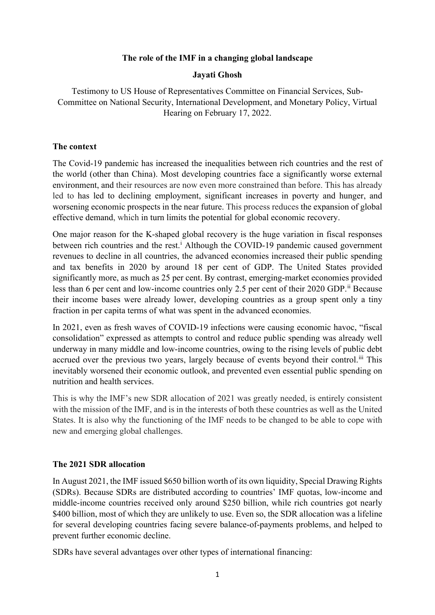### **The role of the IMF in a changing global landscape**

### **Jayati Ghosh**

Testimony to US House of Representatives Committee on Financial Services, Sub-Committee on National Security, International Development, and Monetary Policy, Virtual Hearing on February 17, 2022.

### **The context**

The Covid-19 pandemic has increased the inequalities between rich countries and the rest of the world (other than China). Most developing countries face a significantly worse external environment, and their resources are now even more constrained than before. This has already led to has led to declining employment, significant increases in poverty and hunger, and worsening economic prospects in the near future. This process reduces the expansion of global effective demand, which in turn limits the potential for global economic recovery.

One major reason for the K-shaped global recovery is the huge variation in fiscal responses between r[i](#page-8-0)ch countries and the rest.<sup> $\mathbf{i}$ </sup> Although the COVID-19 pandemic caused government revenues to decline in all countries, the advanced economies increased their public spending and tax benefits in 2020 by around 18 per cent of GDP. The United States provided significantly more, as much as 25 per cent. By contrast, emerging-market economies provided less than 6 per cent and low-income countries only 2.5 per cent of their 2020 GDP.<sup>[ii](#page-8-1)</sup> Because their income bases were already lower, developing countries as a group spent only a tiny fraction in per capita terms of what was spent in the advanced economies.

In 2021, even as fresh waves of COVID-19 infections were causing economic havoc, "fiscal consolidation" expressed as attempts to control and reduce public spending was already well underway in many middle and low-income countries, owing to the rising levels of public debt accrued over the previous two years, largely because of events beyond their control.<sup>[iii](#page-8-2)</sup> This inevitably worsened their economic outlook, and prevented even essential public spending on nutrition and health services.

This is why the IMF's new SDR allocation of 2021 was greatly needed, is entirely consistent with the mission of the IMF, and is in the interests of both these countries as well as the United States. It is also why the functioning of the IMF needs to be changed to be able to cope with new and emerging global challenges.

# **The 2021 SDR allocation**

In August 2021, the IMF issued \$650 billion worth of its own liquidity, Special Drawing Rights (SDRs). Because SDRs are distributed according to countries' IMF quotas, low-income and middle-income countries received only around \$250 billion, while rich countries got nearly \$400 billion, most of which they are unlikely to use. Even so, the SDR allocation was a lifeline for several developing countries facing severe balance-of-payments problems, and helped to prevent further economic decline.

SDRs have several advantages over other types of international financing: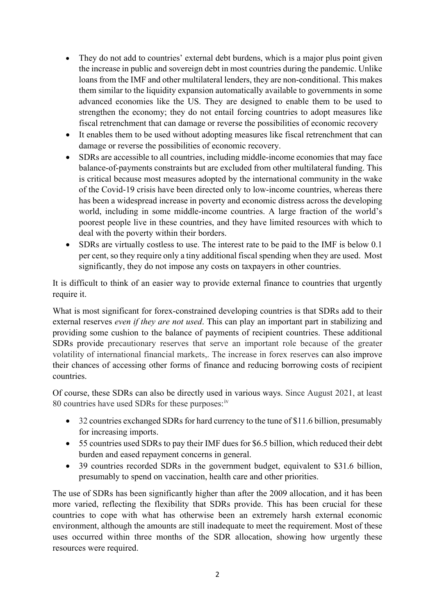- They do not add to countries' external debt burdens, which is a major plus point given the increase in public and sovereign debt in most countries during the pandemic. Unlike loans from the IMF and other multilateral lenders, they are non-conditional. This makes them similar to the liquidity expansion automatically available to governments in some advanced economies like the US. They are designed to enable them to be used to strengthen the economy; they do not entail forcing countries to adopt measures like fiscal retrenchment that can damage or reverse the possibilities of economic recovery
- It enables them to be used without adopting measures like fiscal retrenchment that can damage or reverse the possibilities of economic recovery.
- SDRs are accessible to all countries, including middle-income economies that may face balance-of-payments constraints but are excluded from other multilateral funding. This is critical because most measures adopted by the international community in the wake of the Covid-19 crisis have been directed only to low-income countries, whereas there has been a widespread increase in poverty and economic distress across the developing world, including in some middle-income countries. A large fraction of the world's poorest people live in these countries, and they have limited resources with which to deal with the poverty within their borders.
- SDRs are virtually costless to use. The interest rate to be paid to the IMF is below 0.1 per cent, so they require only a tiny additional fiscal spending when they are used. Most significantly, they do not impose any costs on taxpayers in other countries.

It is difficult to think of an easier way to provide external finance to countries that urgently require it.

What is most significant for forex-constrained developing countries is that SDRs add to their external reserves *even if they are not used*. This can play an important part in stabilizing and providing some cushion to the balance of payments of recipient countries. These additional SDRs provide precautionary reserves that serve an important role because of the greater volatility of international financial markets,. The increase in forex reserves can also improve their chances of accessing other forms of finance and reducing borrowing costs of recipient countries.

Of course, these SDRs can also be directly used in various ways. Since August 2021, at least 80 countries have used SDRs for these purposes:<sup>[iv](#page-8-3)</sup>

- 32 countries exchanged SDRs for hard currency to the tune of \$11.6 billion, presumably for increasing imports.
- 55 countries used SDRs to pay their IMF dues for \$6.5 billion, which reduced their debt burden and eased repayment concerns in general.
- 39 countries recorded SDRs in the government budget, equivalent to \$31.6 billion, presumably to spend on vaccination, health care and other priorities.

The use of SDRs has been significantly higher than after the 2009 allocation, and it has been more varied, reflecting the flexibility that SDRs provide. This has been crucial for these countries to cope with what has otherwise been an extremely harsh external economic environment, although the amounts are still inadequate to meet the requirement. Most of these uses occurred within three months of the SDR allocation, showing how urgently these resources were required.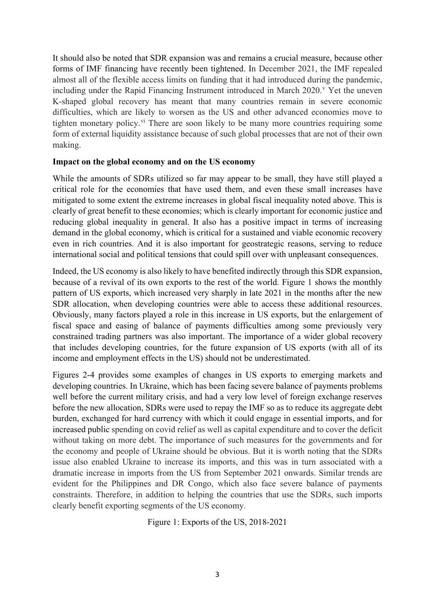It should also be noted that SDR expansion was and remains a crucial measure, because other forms of IMF financing have recently been tightened. In December 2021, the IMF repealed almost all of the flexible access limits on funding that it had introduced during the pandemic, including under the Rapid Financing Instrument introduced in March 2020.<sup>[v](#page-8-4)</sup> Yet the uneven K-shaped global recovery has meant that many countries remain in severe economic difficulties, which are likely to worsen as the US and other advanced economies move to tighten monetary policy.<sup>[vi](#page-8-5)</sup> There are soon likely to be many more countries requiring some form of external liquidity assistance because of such global processes that are not of their own making.

### **Impact on the global economy and on the US economy**

While the amounts of SDRs utilized so far may appear to be small, they have still played a critical role for the economies that have used them, and even these small increases have mitigated to some extent the extreme increases in global fiscal inequality noted above. This is clearly of great benefit to these economies; which is clearly important for economic justice and reducing global inequality in general. It also has a positive impact in terms of increasing demand in the global economy, which is critical for a sustained and viable economic recovery even in rich countries. And it is also important for geostrategic reasons, serving to reduce international social and political tensions that could spill over with unpleasant consequences.

Indeed, the US economy is also likely to have benefited indirectly through this SDR expansion, because of a revival of its own exports to the rest of the world. Figure 1 shows the monthly pattern of US exports, which increased very sharply in late 2021 in the months after the new SDR allocation, when developing countries were able to access these additional resources. Obviously, many factors played a role in this increase in US exports, but the enlargement of fiscal space and easing of balance of payments difficulties among some previously very constrained trading partners was also important. The importance of a wider global recovery that includes developing countries, for the future expansion of US exports (with all of its income and employment effects in the US) should not be underestimated.

Figures 2-4 provides some examples of changes in US exports to emerging markets and developing countries. In Ukraine, which has been facing severe balance of payments problems well before the current military crisis, and had a very low level of foreign exchange reserves before the new allocation, SDRs were used to repay the IMF so as to reduce its aggregate debt burden, exchanged for hard currency with which it could engage in essential imports, and for increased public spending on covid relief as well as capital expenditure and to cover the deficit without taking on more debt. The importance of such measures for the governments and for the economy and people of Ukraine should be obvious. But it is worth noting that the SDRs issue also enabled Ukraine to increase its imports, and this was in turn associated with a dramatic increase in imports from the US from September 2021 onwards. Similar trends are evident for the Philippines and DR Congo, which also face severe balance of payments constraints. Therefore, in addition to helping the countries that use the SDRs, such imports clearly benefit exporting segments of the US economy.

Figure 1: Exports of the US, 2018-2021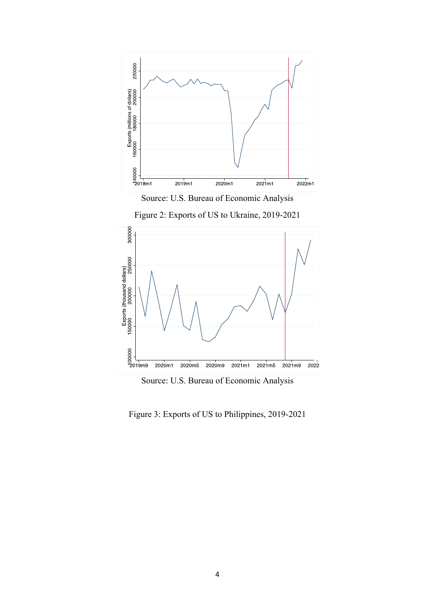

Source: U.S. Bureau of Economic Analysis





Source: U.S. Bureau of Economic Analysis

Figure 3: Exports of US to Philippines, 2019-2021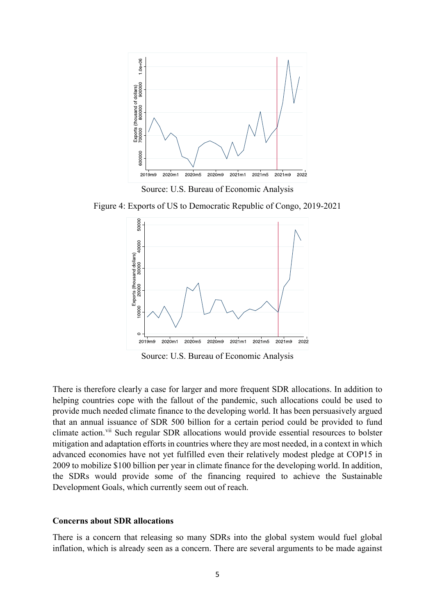

Source: U.S. Bureau of Economic Analysis

Figure 4: Exports of US to Democratic Republic of Congo, 2019-2021



Source: U.S. Bureau of Economic Analysis

There is therefore clearly a case for larger and more frequent SDR allocations. In addition to helping countries cope with the fallout of the pandemic, such allocations could be used to provide much needed climate finance to the developing world. It has been persuasively argued that an annual issuance of SDR 500 billion for a certain period could be provided to fund climate action.<sup>[vii](#page-8-6)</sup> Such regular SDR allocations would provide essential resources to bolster mitigation and adaptation efforts in countries where they are most needed, in a context in which advanced economies have not yet fulfilled even their relatively modest pledge at COP15 in 2009 to mobilize \$100 billion per year in climate finance for the developing world. In addition, the SDRs would provide some of the financing required to achieve the Sustainable Development Goals, which currently seem out of reach.

#### **Concerns about SDR allocations**

There is a concern that releasing so many SDRs into the global system would fuel global inflation, which is already seen as a concern. There are several arguments to be made against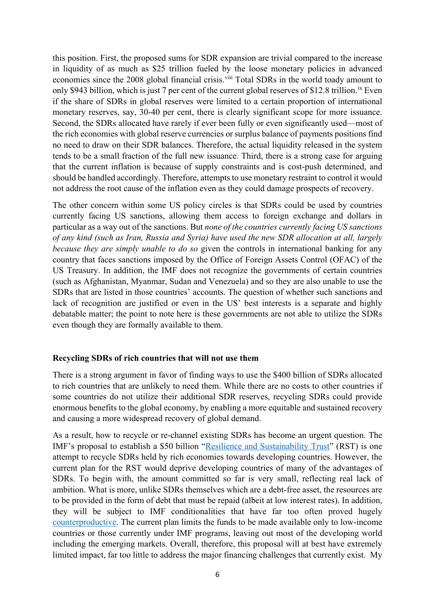this position. First, the proposed sums for SDR expansion are trivial compared to the increase in liquidity of as much as \$25 trillion fueled by the loose monetary policies in advanced economies since the 2008 global financial crisis.<sup>[viii](#page-8-7)</sup> Total SDRs in the world toady amount to only \$943 billion, which is just 7 per cent of the current global reserves of \$12.8 trillion.<sup>[ix](#page-8-8)</sup> Even if the share of SDRs in global reserves were limited to a certain proportion of international monetary reserves, say, 30-40 per cent, there is clearly significant scope for more issuance. Second, the SDRs allocated have rarely if ever been fully or even significantly used—most of the rich economies with global reserve currencies or surplus balance of payments positions find no need to draw on their SDR balances. Therefore, the actual liquidity released in the system tends to be a small fraction of the full new issuance. Third, there is a strong case for arguing that the current inflation is because of supply constraints and is cost-push determined, and should be handled accordingly. Therefore, attempts to use monetary restraint to control it would not address the root cause of the inflation even as they could damage prospects of recovery.

The other concern within some US policy circles is that SDRs could be used by countries currently facing US sanctions, allowing them access to foreign exchange and dollars in particular as a way out of the sanctions. But *none of the countries currently facing US sanctions of any kind (such as Iran, Russia and Syria) have used the new SDR allocation at all, largely because they are simply unable to do so* given the controls in international banking for any country that faces sanctions imposed by the Office of Foreign Assets Control (OFAC) of the US Treasury. In addition, the IMF does not recognize the governments of certain countries (such as Afghanistan, Myanmar, Sudan and Venezuela) and so they are also unable to use the SDRs that are listed in those countries' accounts. The question of whether such sanctions and lack of recognition are justified or even in the US' best interests is a separate and highly debatable matter; the point to note here is these governments are not able to utilize the SDRs even though they are formally available to them.

### **Recycling SDRs of rich countries that will not use them**

There is a strong argument in favor of finding ways to use the \$400 billion of SDRs allocated to rich countries that are unlikely to need them. While there are no costs to other countries if some countries do not utilize their additional SDR reserves, recycling SDRs could provide enormous benefits to the global economy, by enabling a more equitable and sustained recovery and causing a more widespread recovery of global demand.

As a result, how to recycle or re-channel existing SDRs has become an urgent question. The IMF's proposal to establish a \$50 billion ["Resilience and Sustainability Trust"](https://blogs.imf.org/2022/01/20/a-new-trust-to-help-countries-build-resilience-and-sustainability/) (RST) is one attempt to recycle SDRs held by rich economies towards developing countries. However, the current plan for the RST would deprive developing countries of many of the advantages of SDRs. To begin with, the amount committed so far is very small, reflecting real lack of ambition. What is more, unlike SDRs themselves which are a debt-free asset, the resources are to be provided in the form of debt that must be repaid (albeit at low interest rates). In addition, they will be subject to IMF conditionalities that have far too often proved hugely [counterproductive.](https://www.eurodad.org/unhealthy-conditions) The current plan limits the funds to be made available only to low-income countries or those currently under IMF programs, leaving out most of the developing world including the emerging markets. Overall, therefore, this proposal will at best have extremely limited impact, far too little to address the major financing challenges that currently exist. My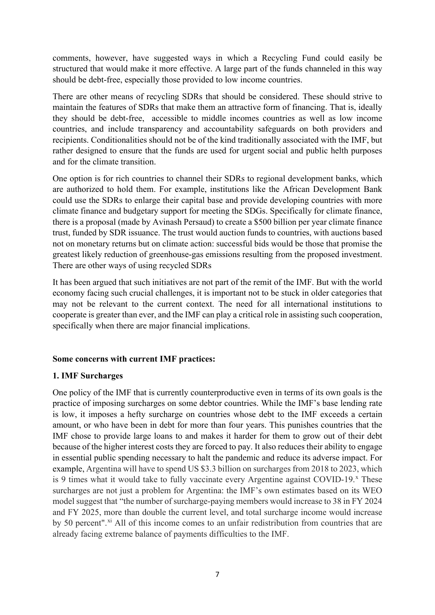comments, however, have suggested ways in which a Recycling Fund could easily be structured that would make it more effective. A large part of the funds channeled in this way should be debt-free, especially those provided to low income countries.

There are other means of recycling SDRs that should be considered. These should strive to maintain the features of SDRs that make them an attractive form of financing. That is, ideally they should be debt-free, accessible to middle incomes countries as well as low income countries, and include transparency and accountability safeguards on both providers and recipients. Conditionalities should not be of the kind traditionally associated with the IMF, but rather designed to ensure that the funds are used for urgent social and public helth purposes and for the climate transition.

One option is for rich countries to channel their SDRs to regional development banks, which are authorized to hold them. For example, institutions like the African Development Bank could use the SDRs to enlarge their capital base and provide developing countries with more climate finance and budgetary support for meeting the SDGs. Specifically for climate finance, there is a proposal (made by Avinash Persaud) to create a \$500 billion per year climate finance trust, funded by SDR issuance. The trust would auction funds to countries, with auctions based not on monetary returns but on climate action: successful bids would be those that promise the greatest likely reduction of greenhouse-gas emissions resulting from the proposed investment. There are other ways of using recycled SDRs

It has been argued that such initiatives are not part of the remit of the IMF. But with the world economy facing such crucial challenges, it is important not to be stuck in older categories that may not be relevant to the current context. The need for all international institutions to cooperate is greater than ever, and the IMF can play a critical role in assisting such cooperation, specifically when there are major financial implications.

# **Some concerns with current IMF practices:**

# **1. IMF Surcharges**

One policy of the IMF that is currently counterproductive even in terms of its own goals is the practice of imposing surcharges on some debtor countries. While the IMF's base lending rate is low, it imposes a hefty surcharge on countries whose debt to the IMF exceeds a certain amount, or who have been in debt for more than four years. This punishes countries that the IMF chose to provide large loans to and makes it harder for them to grow out of their debt because of the higher interest costs they are forced to pay. It also reduces their ability to engage in essential public spending necessary to halt the pandemic and reduce its adverse impact. For example, Argentina will have to spend US \$3.3 billion on surcharges from 2018 to 2023, which is 9 times what it would take to fully vaccinate every Argentine against COVID-19. $^{\circ}$  These surcharges are not just a problem for Argentina: the IMF's own estimates based on its WEO model suggest that "the number of surcharge-paying members would increase to 38 in FY 2024 and FY 2025, more than double the current level, and total surcharge income would increase by 50 percent".<sup>[xi](#page-8-10)</sup> All of this income comes to an unfair redistribution from countries that are already facing extreme balance of payments difficulties to the IMF.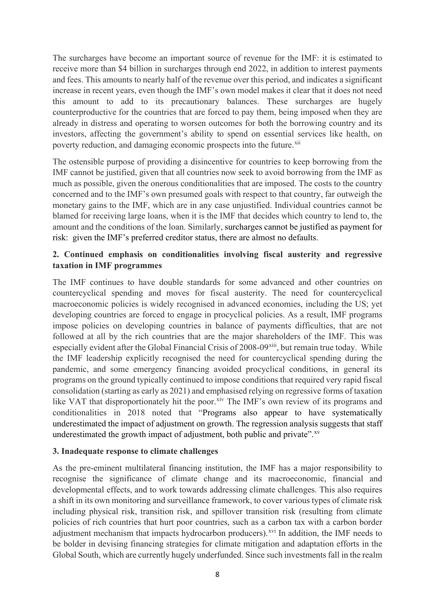The surcharges have become an important source of revenue for the IMF: it is estimated to receive more than \$4 billion in surcharges through end 2022, in addition to interest payments and fees. This amounts to nearly half of the revenue over this period, and indicates a significant increase in recent years, even though the IMF's own model makes it clear that it does not need this amount to add to its precautionary balances. These surcharges are hugely counterproductive for the countries that are forced to pay them, being imposed when they are already in distress and operating to worsen outcomes for both the borrowing country and its investors, affecting the government's ability to spend on essential services like health, on poverty reduction, and damaging economic prospects into the future.<sup>[xii](#page-8-11)</sup>

The ostensible purpose of providing a disincentive for countries to keep borrowing from the IMF cannot be justified, given that all countries now seek to avoid borrowing from the IMF as much as possible, given the onerous conditionalities that are imposed. The costs to the country concerned and to the IMF's own presumed goals with respect to that country, far outweigh the monetary gains to the IMF, which are in any case unjustified. Individual countries cannot be blamed for receiving large loans, when it is the IMF that decides which country to lend to, the amount and the conditions of the loan. Similarly, surcharges cannot be justified as payment for risk: given the IMF's preferred creditor status, there are almost no defaults.

# **2. Continued emphasis on conditionalities involving fiscal austerity and regressive taxation in IMF programmes**

The IMF continues to have double standards for some advanced and other countries on countercyclical spending and moves for fiscal austerity. The need for countercyclical macroeconomic policies is widely recognised in advanced economies, including the US; yet developing countries are forced to engage in procyclical policies. As a result, IMF programs impose policies on developing countries in balance of payments difficulties, that are not followed at all by the rich countries that are the major shareholders of the IMF. This was especially evident after the Global Financial Crisis of 2008-09<sup>xiii</sup>, but remain true today. While the IMF leadership explicitly recognised the need for countercyclical spending during the pandemic, and some emergency financing avoided procyclical conditions, in general its programs on the ground typically continued to impose conditions that required very rapid fiscal consolidation (starting as early as 2021) and emphasised relying on regressive forms of taxation like VAT that disproportionately hit the poor.<sup>[xiv](#page-8-13)</sup> The IMF's own review of its programs and conditionalities in 2018 noted that "Programs also appear to have systematically underestimated the impact of adjustment on growth. The regression analysis suggests that staff underestimated the growth impact of adjustment, both public and private".<sup>[xv](#page-8-14)</sup>

# **3. Inadequate response to climate challenges**

As the pre-eminent multilateral financing institution, the IMF has a major responsibility to recognise the significance of climate change and its macroeconomic, financial and developmental effects, and to work towards addressing climate challenges. This also requires a shift in its own monitoring and surveillance framework, to cover various types of climate risk including physical risk, transition risk, and spillover transition risk (resulting from climate policies of rich countries that hurt poor countries, such as a carbon tax with a carbon border adjustment mechanism that impacts hydrocarbon producers).<sup>[xvi](#page-8-15)</sup> In addition, the IMF needs to be bolder in devising financing strategies for climate mitigation and adaptation efforts in the Global South, which are currently hugely underfunded. Since such investments fall in the realm